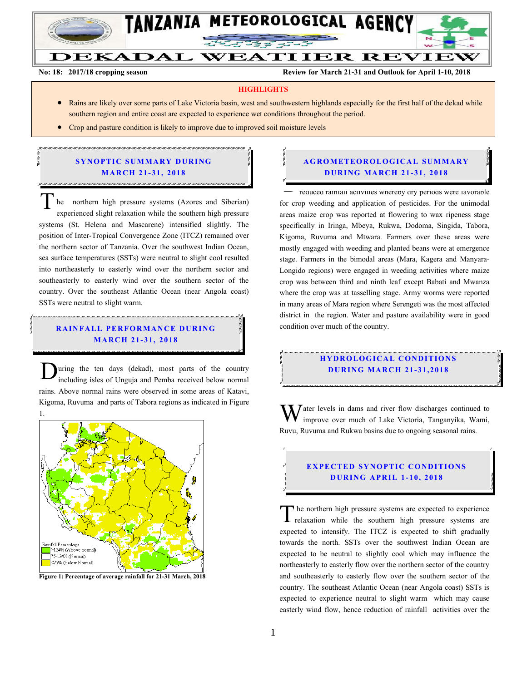

# DEKADAL WEATHER REVIEW

Farmers, fishers and livestock keepers are advised to consult extension officers for optimal use of this forecast and advisory.

**No: 18: 2017/18 cropping season Review for March 21-31 and Outlook for April 1-10, 2018** 

#### **HIGHLIGHTS**

- Rains are likely over some parts of Lake Victoria basin, west and southwestern highlands especially for the first half of the dekad while southern region and entire coast are expected to experience wet conditions throughout the period.
- Crop and pasture condition is likely to improve due to improved soil moisture levels

#### **SYNOPTIC SUMMARY DURING MARCH 21-31, 2018** .<br>כמות כמות כמות ממות המות כמות המות כמות כמות כמות כמות המות כמות המות כמות כמות כמות המות המות המות המות כמות

he northern high pressure systems (Azores and Siberian) experienced slight relaxation while the southern high pressure systems (St. Helena and Mascarene) intensified slightly. The position of Inter-Tropical Convergence Zone (ITCZ) remained over the northern sector of Tanzania. Over the southwest Indian Ocean, sea surface temperatures (SSTs) were neutral to slight cool resulted into northeasterly to easterly wind over the northern sector and southeasterly to easterly wind over the southern sector of the country. Over the southeast Atlantic Ocean (near Angola coast) SSTs were neutral to slight warm.  $\overline{T}$ 

#### **RAINFALL PERFORMANCE DURING MA RC H 21 - 31, 201 8**

.<br>הוכר מוכרים כמו מוכרים במכונים מוכרים במכונים מוכרים מוכרים במכונים מוכרים במכרים במכרים במכרים במכרים מכרים ב

uring the ten days (dekad), most parts of the country including isles of Unguja and Pemba received below normal rains. Above normal rains were observed in some areas of Katavi, Kigoma, Ruvuma and parts of Tabora regions as indicated in Figure D



**Figure 1: Percentage of average rainfall for 21-31 March, 2018**

#### $\mathcal{A}$ **A G RO METEO R O LOG ICA L SU MMA RY D UR ING MA RC H 21- 31, 2018**

reduced rainfall activities whereby dry periods were favorable for crop weeding and application of pesticides. For the unimodal areas maize crop was reported at flowering to wax ripeness stage specifically in Iringa, Mbeya, Rukwa, Dodoma, Singida, Tabora, Kigoma, Ruvuma and Mtwara. Farmers over these areas were mostly engaged with weeding and planted beans were at emergence stage. Farmers in the bimodal areas (Mara, Kagera and Manyara-Longido regions) were engaged in weeding activities where maize crop was between third and ninth leaf except Babati and Mwanza where the crop was at tasselling stage. Army worms were reported in many areas of Mara region where Serengeti was the most affected district in the region. Water and pasture availability were in good condition over much of the country.  $\frac{1}{\sqrt{1-\frac{1}{\sqrt{1-\frac{1}{\sqrt{1-\frac{1}{\sqrt{1-\frac{1}{\sqrt{1-\frac{1}{\sqrt{1-\frac{1}{\sqrt{1-\frac{1}{\sqrt{1-\frac{1}{\sqrt{1-\frac{1}{\sqrt{1-\frac{1}{\sqrt{1-\frac{1}{\sqrt{1-\frac{1}{\sqrt{1-\frac{1}{\sqrt{1-\frac{1}{\sqrt{1-\frac{1}{\sqrt{1-\frac{1}{\sqrt{1-\frac{1}{\sqrt{1-\frac{1}{\sqrt{1-\frac{1}{\sqrt{1-\frac{1}{\sqrt{1-\frac{1}{\sqrt{1-\frac{1}{\sqrt{1-\frac{1}{\sqrt{1-\frac{1$ 

### **HYDROLOGICAL CONDITIONS D UR ING MA RC H 21- 31,2018**

Water levels in dams and river flow discharges continued to improve over much of Lake Victoria, Tanganyika, Wami, improve over much of Lake Victoria, Tanganyika, Wami, Ruvu, Ruvuma and Rukwa basins due to ongoing seasonal rains.

### **EXPECTED SYNOPTIC CONDITIONS D UR ING A PR IL 1- 10, 201 8**

he northern high pressure systems are expected to experience The northern high pressure systems are expected to experience<br>relaxation while the southern high pressure systems are expected to intensify. The ITCZ is expected to shift gradually towards the north. SSTs over the southwest Indian Ocean are expected to be neutral to slightly cool which may influence the northeasterly to easterly flow over the northern sector of the country and southeasterly to easterly flow over the southern sector of the country. The southeast Atlantic Ocean (near Angola coast) SSTs is expected to experience neutral to slight warm which may cause easterly wind flow, hence reduction of rainfall activities over the